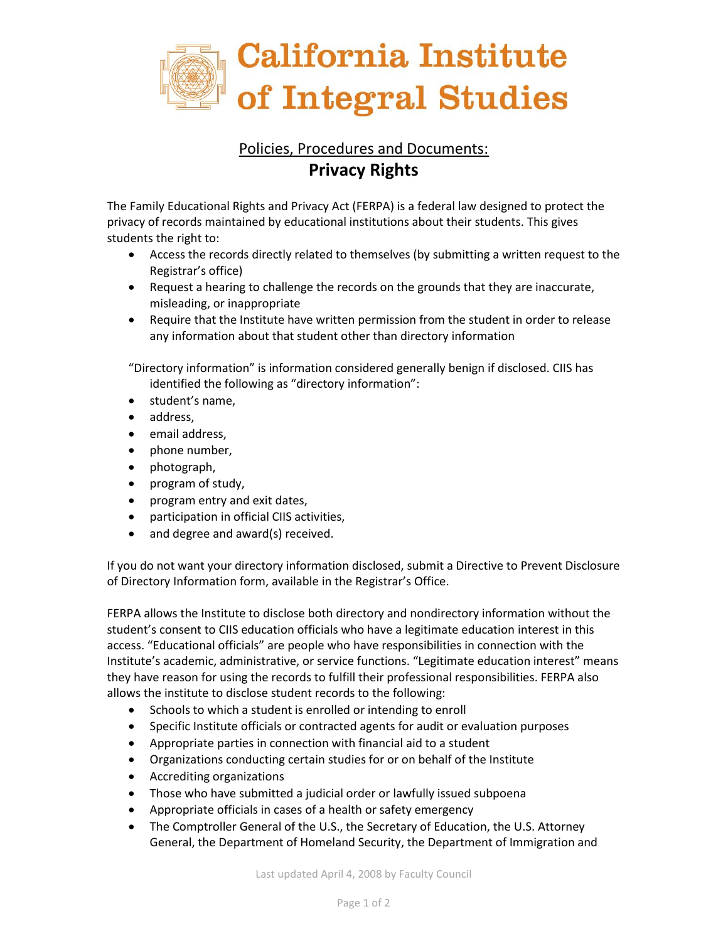

## Policies, Procedures and Documents: **Privacy Rights**

The Family Educational Rights and Privacy Act (FERPA) is a federal law designed to protect the privacy of records maintained by educational institutions about their students. This gives students the right to:

- Access the records directly related to themselves (by submitting a written request to the Registrar's office)
- Request a hearing to challenge the records on the grounds that they are inaccurate, misleading, or inappropriate
- Require that the Institute have written permission from the student in order to release any information about that student other than directory information

"Directory information" is information considered generally benign if disclosed. CIIS has identified the following as "directory information":

- student's name,
- address.
- email address,
- phone number,
- photograph,
- program of study,
- program entry and exit dates,
- participation in official CIIS activities,
- and degree and award(s) received.

If you do not want your directory information disclosed, submit a Directive to Prevent Disclosure of Directory Information form, available in the Registrar's Office.

FERPA allows the Institute to disclose both directory and nondirectory information without the student's consent to CIIS education officials who have a legitimate education interest in this access. "Educational officials" are people who have responsibilities in connection with the Institute's academic, administrative, or service functions. "Legitimate education interest" means they have reason for using the records to fulfill their professional responsibilities. FERPA also allows the institute to disclose student records to the following:

- Schools to which a student is enrolled or intending to enroll
- Specific Institute officials or contracted agents for audit or evaluation purposes
- Appropriate parties in connection with financial aid to a student
- Organizations conducting certain studies for or on behalf of the Institute
- Accrediting organizations
- Those who have submitted a judicial order or lawfully issued subpoena
- Appropriate officials in cases of a health or safety emergency
- The Comptroller General of the U.S., the Secretary of Education, the U.S. Attorney General, the Department of Homeland Security, the Department of Immigration and